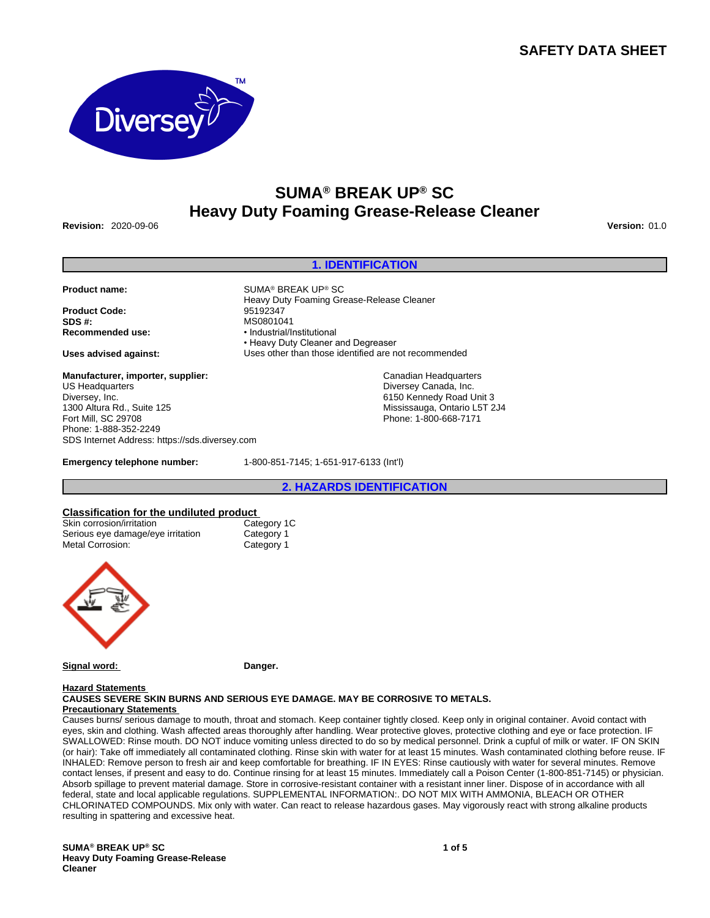# **SAFETY DATA SHEET**



# **SUMA® BREAK UP® SC Heavy Duty Foaming Grease-Release Cleaner**

**Revision:** 2020-09-06 **Version:** 01.0

#### **1. IDENTIFICATION**

**Product name:** SUMA® BREAK UP® SC

**Product Code:** 95192347 **SDS #:** MS0801041

**Manufacturer, importer, supplier:** US Headquarters Diversey, Inc. 1300 Altura Rd., Suite 125 Fort Mill, SC 29708 Phone: 1-888-352-2249 SDS Internet Address: https://sds.diversey.com

**Emergency telephone number:** 1-800-851-7145; 1-651-917-6133 (Int'l)

Heavy Duty Foaming Grease-Release Cleaner **Recommended use:** • Industrial/Institutional • Heavy Duty Cleaner and Degreaser **Uses advised against:** Uses other than those identified are not recommended

> Canadian Headquarters Diversey Canada, Inc. 6150 Kennedy Road Unit 3 Mississauga, Ontario L5T 2J4 Phone: 1-800-668-7171

**2. HAZARDS IDENTIFICATION**

# **Classification for the undiluted product**

Skin corrosion/irritation Serious eye damage/eye irritation Category 1<br>
Metal Corrosion: Category 1 Metal Corrosion:



**Signal word: Danger.**

#### **Hazard Statements**

**CAUSES SEVERE SKIN BURNS AND SERIOUS EYE DAMAGE. MAY BE CORROSIVE TO METALS. Precautionary Statements** 

Causes burns/ serious damage to mouth, throat and stomach. Keep container tightly closed. Keep only in original container. Avoid contact with eyes, skin and clothing. Wash affected areas thoroughly after handling. Wear protective gloves, protective clothing and eye or face protection. IF SWALLOWED: Rinse mouth. DO NOT induce vomiting unless directed to do so by medical personnel. Drink a cupful of milk or water. IF ON SKIN (or hair): Take off immediately all contaminated clothing. Rinse skin with water for at least 15 minutes. Wash contaminated clothing before reuse. IF INHALED: Remove person to fresh air and keep comfortable for breathing. IF IN EYES: Rinse cautiously with water for several minutes. Remove contact lenses, if present and easy to do. Continue rinsing for at least 15 minutes. Immediately call a Poison Center (1-800-851-7145) or physician. Absorb spillage to prevent material damage. Store in corrosive-resistant container with a resistant inner liner. Dispose of in accordance with all federal, state and local applicable regulations. SUPPLEMENTAL INFORMATION:. DO NOT MIX WITH AMMONIA, BLEACH OR OTHER CHLORINATED COMPOUNDS. Mix only with water. Can react to release hazardous gases. May vigorously react with strong alkaline products resulting in spattering and excessive heat.

**SUMA® BREAK UP® SC Heavy Duty Foaming Grease-Release Cleaner**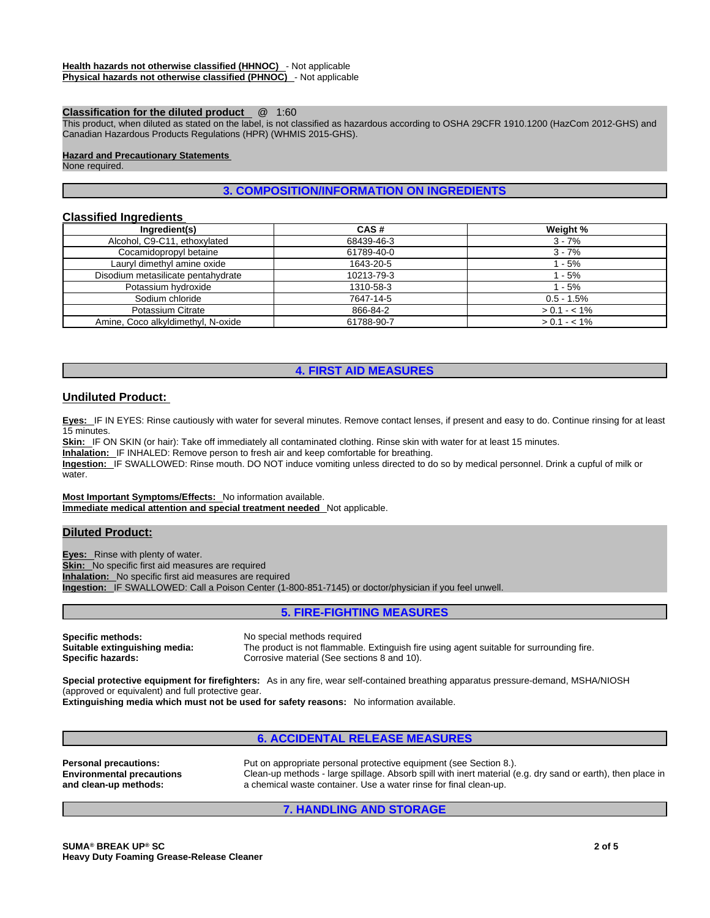### **Classification for the diluted product** @ 1:60

This product, when diluted as stated on the label, is not classified as hazardous according to OSHA 29CFR 1910.1200 (HazCom 2012-GHS) and Canadian Hazardous Products Regulations (HPR) (WHMIS 2015-GHS).

#### **Hazard and Precautionary Statements**

None required.

# **3. COMPOSITION/INFORMATION ON INGREDIENTS**

### **Classified Ingredients**

| Ingredient(s)                      | CAS#       | Weight %      |
|------------------------------------|------------|---------------|
| Alcohol, C9-C11, ethoxylated       | 68439-46-3 | $3 - 7%$      |
| Cocamidopropyl betaine             | 61789-40-0 | $3 - 7%$      |
| Lauryl dimethyl amine oxide        | 1643-20-5  | $1 - 5%$      |
| Disodium metasilicate pentahydrate | 10213-79-3 | $1 - 5%$      |
| Potassium hydroxide                | 1310-58-3  | $1 - 5%$      |
| Sodium chloride                    | 7647-14-5  | $0.5 - 1.5%$  |
| Potassium Citrate                  | 866-84-2   | $> 0.1 - 1\%$ |
| Amine, Coco alkyldimethyl, N-oxide | 61788-90-7 | $> 0.1 - 1\%$ |

# **4. FIRST AID MEASURES**

#### **Undiluted Product:**

**Eyes:** IF IN EYES: Rinse cautiously with water for several minutes. Remove contact lenses, if present and easy to do. Continue rinsing for at least 15 minutes.

**Skin:** IF ON SKIN (or hair): Take off immediately all contaminated clothing. Rinse skin with water for at least 15 minutes.

**Inhalation:** IF INHALED: Remove person to fresh air and keep comfortable for breathing.

**Ingestion:** IF SWALLOWED: Rinse mouth. DO NOT induce vomiting unless directed to do so by medical personnel. Drink a cupful of milk or water.

**Most Important Symptoms/Effects:** No information available. **Immediate medical attention and special treatment needed** Not applicable.

# **Diluted Product:**

**Eyes:** Rinse with plenty of water. **Skin:** No specific first aid measures are required **Inhalation:** No specific first aid measures are required **Ingestion:** IF SWALLOWED: Call a Poison Center (1-800-851-7145) or doctor/physician if you feel unwell.

### **5. FIRE-FIGHTING MEASURES**

**Specific methods:** No special methods required

**Suitable extinguishing media:** The product is not flammable. Extinguish fire using agent suitable for surrounding fire. **Specific hazards: Corrosive material (See sections 8 and 10).** Corrosive material (See sections 8 and 10).

**Special protective equipment for firefighters:** As in any fire, wear self-contained breathing apparatus pressure-demand, MSHA/NIOSH (approved or equivalent) and full protective gear.

**Extinguishing media which must not be used for safety reasons:** No information available.

# **6. ACCIDENTAL RELEASE MEASURES**

**Environmental precautions and clean-up methods:** 

**Personal precautions:** Put on appropriate personal protective equipment (see Section 8.). Clean-up methods - large spillage. Absorb spill with inert material (e.g. dry sand or earth), then place in a chemical waste container. Use a water rinse for final clean-up.

# **7. HANDLING AND STORAGE**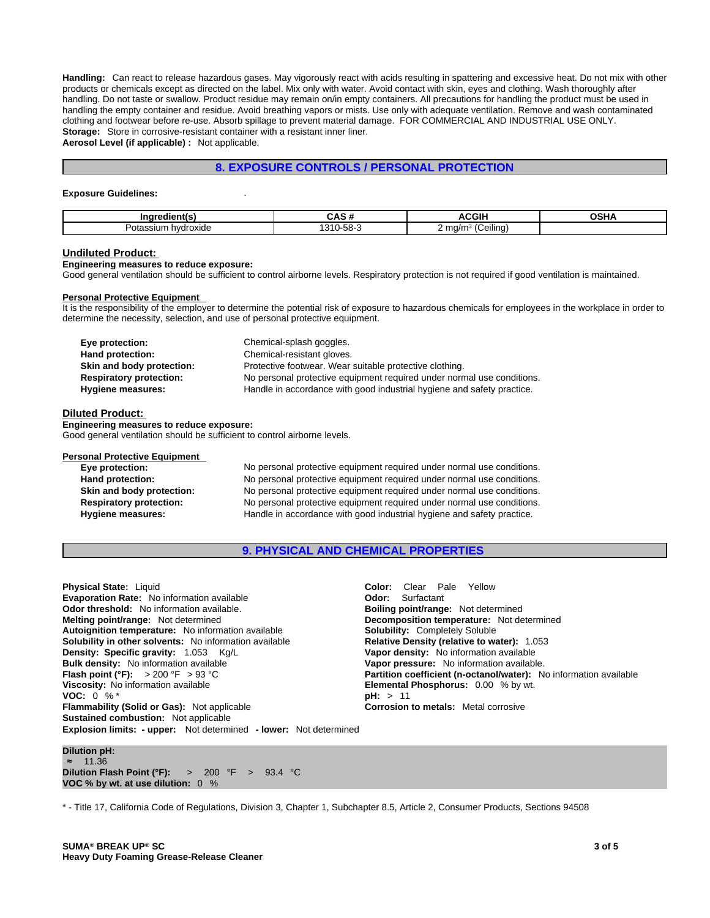**Handling:** Can react to release hazardous gases. May vigorously react with acids resulting in spattering and excessive heat. Do not mix with other products or chemicals except as directed on the label. Mix only with water. Avoid contact with skin, eyes and clothing. Wash thoroughly after handling. Do not taste or swallow. Product residue may remain on/in empty containers. All precautions for handling the product must be used in handling the empty container and residue. Avoid breathing vapors or mists. Use only with adequate ventilation. Remove and wash contaminated clothing and footwear before re-use. Absorb spillage to prevent material damage. FOR COMMERCIAL AND INDUSTRIAL USE ONLY. **Storage:** Store in corrosive-resistant container with a resistant inner liner.

**Aerosol Level (if applicable) :** Not applicable.

# **8. EXPOSURE CONTROLS / PERSONAL PROTECTION**

#### **Exposure Guidelines:** .

| Ingredient(s<br>nus                             | <br>Ó<br>u Aji               | <b>CGIH</b><br>. .                                              | A A H<br>וחכ |
|-------------------------------------------------|------------------------------|-----------------------------------------------------------------|--------------|
| hydroxide<br>പ~<br><b>SSIUM</b><br>ח מי<br>υια: | $-2$<br>.01.<br>. ს-58-<br>◡ | <br>$\overline{\phantom{0}}$<br>m <sub>0</sub><br>`eılıng,<br>∼ |              |

#### **Undiluted Product:**

**Engineering measures to reduce exposure:**

Good general ventilation should be sufficient to control airborne levels. Respiratory protection is not required if good ventilation is maintained.

#### **Personal Protective Equipment**

It is the responsibility of the employer to determine the potential risk of exposure to hazardous chemicals for employees in the workplace in order to determine the necessity, selection, and use of personal protective equipment.

| Eye protection:                | Chemical-splash goggles.                                               |
|--------------------------------|------------------------------------------------------------------------|
| Hand protection:               | Chemical-resistant gloves.                                             |
| Skin and body protection:      | Protective footwear. Wear suitable protective clothing.                |
| <b>Respiratory protection:</b> | No personal protective equipment required under normal use conditions. |
| Hygiene measures:              | Handle in accordance with good industrial hygiene and safety practice. |

#### **Diluted Product:**

**Engineering measures to reduce exposure:** Good general ventilation should be sufficient to control airborne levels.

#### **Personal Protective Equipment**

**Eye protection:** No personal protective equipment required under normal use conditions. **Hand protection:** No personal protective equipment required under normal use conditions. **Skin and body protection:** No personal protective equipment required under normal use conditions. **Respiratory protection:** No personal protective equipment required under normal use conditions. **Hygiene measures:** Handle in accordance with good industrial hygiene and safety practice.

#### **9. PHYSICAL AND CHEMICAL PROPERTIES**

#### **Explosion limits: - upper:** Not determined **- lower:** Not determined **Physical State:** Liquid **Color:** Clear Pale Yellow **Evaporation Rate:** No information available **Constanting Surfactant Odor:** Surfactant **Odor threshold:** No information available. **Boiling point/range:** Not determined **Melting point/range:** Not determined **Decomposition temperature:** Not determined **Autoignition temperature:** No information available **Solubility:** Completely Soluble **Solubility in other solvents:** No information available **Relative Density (relative to water):** 1.053 **Density: Specific gravity:** 1.053 Kg/L **Vapor density:** No information available **Bulk density:** No information available **Vapor pressure:** No information available. **Flash point (°F):** > 200 °F > 93 °C **Partition coefficient (n-octanol/water):** No information available **Viscosity:** No information available **Elemental Phosphorus:** 0.00 % by wt. **VOC:** 0 % \* **pH:** > 11 **Flammability (Solid or Gas):** Not applicable **Corrosion to metals:** Metal corrosive **Sustained combustion:** Not applicable

**Dilution pH:** ≈ 11.36 **Dilution Flash Point (°F):** > 200 °F > 93.4 °C **VOC % by wt. at use dilution:** 0 %

\* - Title 17, California Code of Regulations, Division 3, Chapter 1, Subchapter 8.5, Article 2, Consumer Products, Sections 94508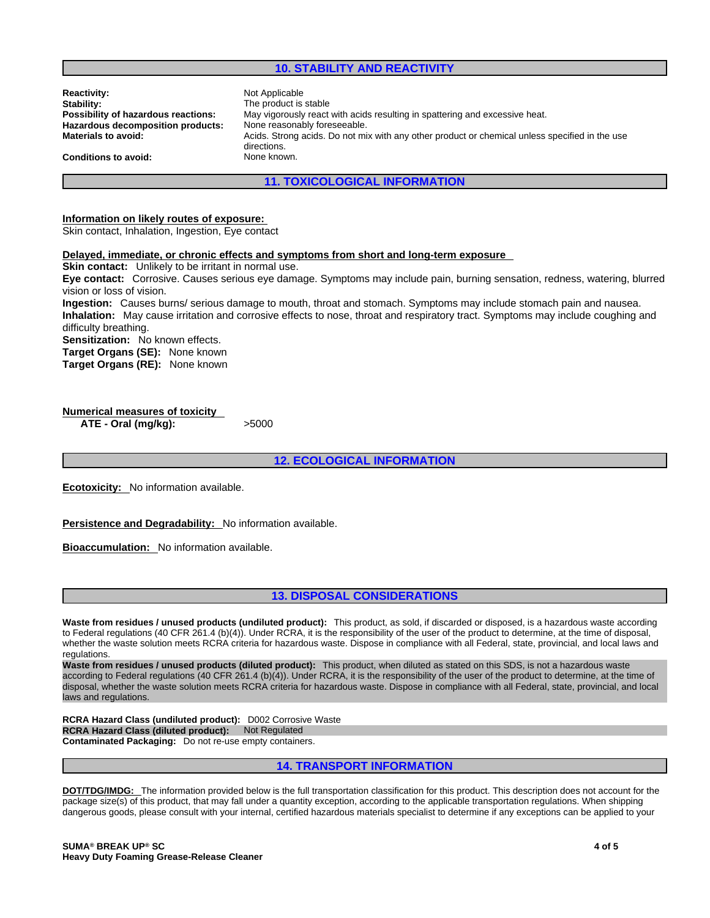# **10. STABILITY AND REACTIVITY**

| <b>Reactivity:</b>                  | Not Applicable                                                                                                |
|-------------------------------------|---------------------------------------------------------------------------------------------------------------|
| Stability:                          | The product is stable                                                                                         |
| Possibility of hazardous reactions: | May vigorously react with acids resulting in spattering and excessive heat.                                   |
| Hazardous decomposition products:   | None reasonably foreseeable.                                                                                  |
| <b>Materials to avoid:</b>          | Acids. Strong acids. Do not mix with any other product or chemical unless specified in the use<br>directions. |
| <b>Conditions to avoid:</b>         | None known.                                                                                                   |
|                                     |                                                                                                               |

# **11. TOXICOLOGICAL INFORMATION**

#### **Information on likely routes of exposure:**

Skin contact, Inhalation, Ingestion, Eye contact

#### **Delayed, immediate, or chronic effects and symptoms from short and long-term exposure**

**Skin contact:** Unlikely to be irritant in normal use.

**Eye contact:** Corrosive. Causes serious eye damage. Symptoms may include pain, burning sensation, redness, watering, blurred vision or loss of vision.

**Ingestion:** Causes burns/ serious damage to mouth, throat and stomach. Symptoms may include stomach pain and nausea. **Inhalation:** May cause irritation and corrosive effects to nose, throat and respiratory tract. Symptoms may include coughing and difficulty breathing.

**Sensitization:** No known effects.

**Target Organs (SE):** None known **Target Organs (RE):** None known

| <b>Numerical measures of toxicity</b> |       |  |
|---------------------------------------|-------|--|
| ATE - Oral (mg/kg):                   | >5000 |  |

**12. ECOLOGICAL INFORMATION**

**Ecotoxicity:** No information available.

**Persistence and Degradability:** No information available.

**Bioaccumulation:** No information available.

# **13. DISPOSAL CONSIDERATIONS**

**Waste from residues / unused products (undiluted product):** This product, as sold, if discarded or disposed, is a hazardous waste according to Federal regulations (40 CFR 261.4 (b)(4)). Under RCRA, it is the responsibility of the user of the product to determine, at the time of disposal, whether the waste solution meets RCRA criteria for hazardous waste. Dispose in compliance with all Federal, state, provincial, and local laws and regulations.

**Waste from residues / unused products (diluted product):** This product, when diluted as stated on this SDS, is not a hazardous waste according to Federal regulations (40 CFR 261.4 (b)(4)). Under RCRA, it is the responsibility of the user of the product to determine, at the time of disposal, whether the waste solution meets RCRA criteria for hazardous waste. Dispose in compliance with all Federal, state, provincial, and local laws and regulations.

**RCRA Hazard Class (undiluted product):** D002 Corrosive Waste **RCRA Hazard Class (diluted product):** Not Regulated **Contaminated Packaging:** Do not re-use empty containers.

**14. TRANSPORT INFORMATION**

**DOT/TDG/IMDG:** The information provided below is the full transportation classification for this product. This description does not account for the package size(s) of this product, that may fall under a quantity exception, according to the applicable transportation regulations. When shipping dangerous goods, please consult with your internal, certified hazardous materials specialist to determine if any exceptions can be applied to your